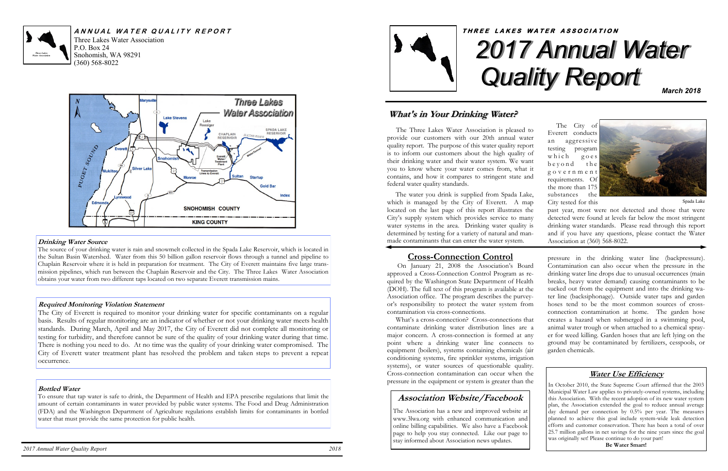P.O. Box 24 Snohomish, WA 98291 (360) 568-8022



Three Lakes Water Association **A N N U A L W A T E R Q U A L I T Y R E P O R T**



#### **Drinking Water Source**

The source of your drinking water is rain and snowmelt collected in the Spada Lake Reservoir, which is located in the Sultan Basin Watershed. Water from this 50 billion gallon reservoir flows through a tunnel and pipeline to Chaplain Reservoir where it is held in preparation for treatment. The City of Everett maintains five large transmission pipelines, which run between the Chaplain Reservoir and the City. The Three Lakes Water Association obtains your water from two different taps located on two separate Everett transmission mains.

#### **Required Monitoring Violation Statement**

The City of Everett is required to monitor your drinking water for specific contaminants on a regular basis. Results of regular monitoring are an indicator of whether or not your drinking water meets health standards. During March, April and May 2017, the City of Everett did not complete all monitoring or testing for turbidity, and therefore cannot be sure of the quality of your drinking water during that time. There is nothing you need to do. At no time was the quality of your drinking water compromised. The City of Everett water treatment plant has resolved the problem and taken steps to prevent a repeat occurrence.

### **Bottled Water**

To ensure that tap water is safe to drink, the Department of Health and EPA prescribe regulations that limit the amount of certain contaminants in water provided by public water systems. The Food and Drug Administration (FDA) and the Washington Department of Agriculture regulations establish limits for contaminants in bottled water that must provide the same protection for public health.

 The City of Everett conducts an aggressive testing program  $which$  goes b e y o n d the g o v e r n m e n t requirements. Of the more than 175 substances the City tested for this





past year, most were not detected and those that were detected were found at levels far below the most stringent drinking water standards. Please read through this report and if you have any questions, please contact the Water Association at (360) 568-8022.

### **Cross-Connection Control**

 On January 21, 2008 the Association's Board approved a Cross-Connection Control Program as required by the Washington State Department of Health (DOH). The full text of this program is available at the Association office. The program describes the purveyor's responsibility to protect the water system from contamination via cross-connections.

 What's a cross-connection? Cross-connections that contaminate drinking water distribution lines are a major concern. A cross-connection is formed at any point where a drinking water line connects to equipment (boilers), systems containing chemicals (air conditioning systems, fire sprinkler systems, irrigation systems), or water sources of questionable quality. Cross-connection contamination can occur when the pressure in the equipment or system is greater than the

### **What's in Your Drinking Water?**

 The Three Lakes Water Association is pleased to provide our customers with our 20th annual water quality report. The purpose of this water quality report is to inform our customers about the high quality of their drinking water and their water system. We want you to know where your water comes from, what it contains, and how it compares to stringent state and federal water quality standards.

 The water you drink is supplied from Spada Lake, which is managed by the City of Everett. A map located on the last page of this report illustrates the City's supply system which provides service to many water systems in the area. Drinking water quality is determined by testing for a variety of natural and manmade contaminants that can enter the water system.

Spada Lake

pressure in the drinking water line (backpressure). Contamination can also occur when the pressure in the drinking water line drops due to unusual occurrences (main breaks, heavy water demand) causing contaminants to be sucked out from the equipment and into the drinking water line (backsiphonage). Outside water taps and garden hoses tend to be the most common sources of crossconnection contamination at home. The garden hose creates a hazard when submerged in a swimming pool, animal water trough or when attached to a chemical sprayer for weed killing. Garden hoses that are left lying on the ground may be contaminated by fertilizers, cesspools, or garden chemicals.

### **Water Use Efficiency**

In October 2010, the State Supreme Court affirmed that the 2003 Municipal Water Law applies to privately-owned systems, including this Association. With the recent adoption of its new water system plan, the Association extended the goal to reduce annual average day demand per connection by 0.5% per year. The measures planned to achieve this goal include system-wide leak detection efforts and customer conservation. There has been a total of over 25.7 million gallons in net savings for the nine years since the goal was originally set! Please continue to do your part!

**Be Water Smart!**

### **Association Website/Facebook**

The Association has a new and improved website at www.3lwa.org with enhanced communication and online billing capabilities. We also have a Facebook page to help you stay connected. Like our page to stay informed about Association news updates.